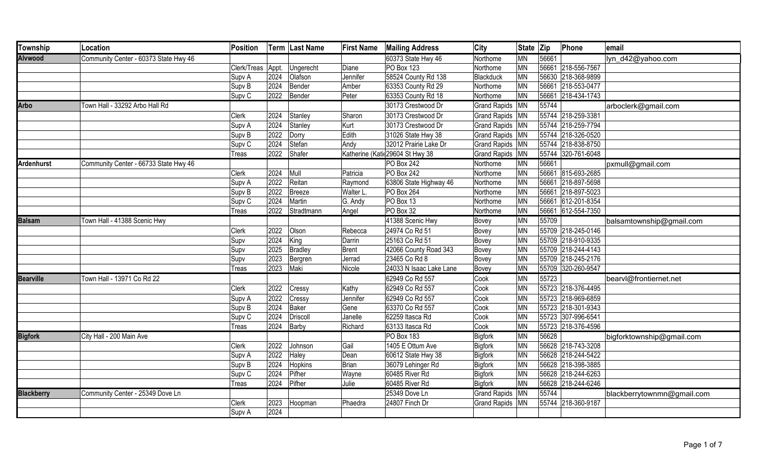| Township          | Location                              | Position          |      | Term Last Name | <b>First Name</b> | <b>Mailing Address</b>           | <b>City</b>         | State Zip |       | Phone              | email                      |
|-------------------|---------------------------------------|-------------------|------|----------------|-------------------|----------------------------------|---------------------|-----------|-------|--------------------|----------------------------|
| <b>Alvwood</b>    | Community Center - 60373 State Hwy 46 |                   |      |                |                   | 60373 State Hwy 46               | Northome            | <b>MN</b> | 56661 |                    | lyn d42@yahoo.com          |
|                   |                                       | Clerk/Treas Appt. |      | Ungerecht      | Diane             | <b>PO Box 123</b>                | Northome            | <b>MN</b> |       | 56661 218-556-7567 |                            |
|                   |                                       | Supv A            | 2024 | Olafson        | Jennifer          | 58524 County Rd 138              | Blackduck           | <b>MN</b> |       | 56630 218-368-9899 |                            |
|                   |                                       | Supv B            | 2024 | Bender         | Amber             | 63353 County Rd 29               | Northome            | <b>MN</b> |       | 56661 218-553-0477 |                            |
|                   |                                       | Supv <sub>C</sub> | 2022 | Bender         | Peter             | 63353 County Rd 18               | Northome            | <b>MN</b> |       | 56661 218-434-1743 |                            |
| <b>Arbo</b>       | Town Hall - 33292 Arbo Hall Rd        |                   |      |                |                   | 30173 Crestwood Dr               | Grand Rapids MN     |           | 55744 |                    | arboclerk@gmail.com        |
|                   |                                       | Clerk             | 2024 | Stanley        | Sharon            | 30173 Crestwood Dr               | Grand Rapids   MN   |           |       | 55744 218-259-3381 |                            |
|                   |                                       | Supv A            | 2024 | Stanley        | Kurt              | 30173 Crestwood Dr               | Grand Rapids MN     |           |       | 55744 218-259-7794 |                            |
|                   |                                       | Supv B            | 2022 | Dorry          | Edith             | 31026 State Hwy 38               | Grand Rapids MN     |           |       | 55744 218-326-0520 |                            |
|                   |                                       | Supv <sub>C</sub> | 2024 | Stefan         | Andy              | 32012 Prairie Lake Dr            | Grand Rapids MN     |           |       | 55744 218-838-8750 |                            |
|                   |                                       | Treas             | 2022 | Shafer         |                   | Katherine (Katik 29604 St Hwy 38 | <b>Grand Rapids</b> | MN        |       | 55744 320-761-6048 |                            |
| <b>Ardenhurst</b> | Community Center - 66733 State Hwy 46 |                   |      |                |                   | PO Box 242                       | Northome            | <b>MN</b> | 56661 |                    | pxmull@gmail.com           |
|                   |                                       | <b>Clerk</b>      | 2024 | Mull           | Patricia          | PO Box 242                       | Northome            | <b>MN</b> |       | 56661 815-693-2685 |                            |
|                   |                                       | Supv A            | 2022 | Reitan         | Raymond           | 63806 State Highway 46           | Northome            | <b>MN</b> |       | 56661 218-897-5698 |                            |
|                   |                                       | Supv B            | 2022 | Breeze         | Walter L.         | PO Box 264                       | Northome            | <b>MN</b> |       | 56661 218-897-5023 |                            |
|                   |                                       | Supv <sub>C</sub> | 2024 | Martin         | G. Andy           | PO Box 13                        | Northome            | <b>MN</b> |       | 56661 612-201-8354 |                            |
|                   |                                       | <b>Treas</b>      | 2022 | Stradtmann     | Angel             | PO Box 32                        | Northome            | MN        |       | 56661 612-554-7350 |                            |
| <b>Balsam</b>     | Town Hall - 41388 Scenic Hwy          |                   |      |                |                   | 41388 Scenic Hwy                 | Bovey               | <b>MN</b> | 55709 |                    | balsamtownship@gmail.com   |
|                   |                                       | <b>Clerk</b>      | 2022 | Olson          | Rebecca           | 24974 Co Rd 51                   | Bovey               | MN        |       | 55709 218-245-0146 |                            |
|                   |                                       | Supv              | 2024 | King           | Darrin            | 25163 Co Rd 51                   | Bovey               | <b>MN</b> |       | 55709 218-910-9335 |                            |
|                   |                                       | Supv              | 2025 | Bradley        | <b>Brent</b>      | 42066 County Road 343            | Bovey               | <b>MN</b> |       | 55709 218-244-4143 |                            |
|                   |                                       | Supv              | 2023 | Bergren        | Jerrad            | 23465 Co Rd 8                    | Bovey               | <b>MN</b> |       | 55709 218-245-2176 |                            |
|                   |                                       | <b>Treas</b>      | 2023 | Maki           | Nicole            | 24033 N Isaac Lake Lane          | Bovey               | <b>MN</b> |       | 55709 320-260-9547 |                            |
| <b>Bearville</b>  | Town Hall - 13971 Co Rd 22            |                   |      |                |                   | 62949 Co Rd 557                  | Cook                | <b>MN</b> | 55723 |                    | bearvl@frontiernet.net     |
|                   |                                       | Clerk             | 2022 | Cressy         | Kathy             | 62949 Co Rd 557                  | Cook                | <b>MN</b> |       | 55723 218-376-4495 |                            |
|                   |                                       | Supv A            | 2022 | Cressy         | Jennifer          | 62949 Co Rd 557                  | Cook                | <b>MN</b> |       | 55723 218-969-6859 |                            |
|                   |                                       | Supv B            | 2024 | Baker          | Gene              | 63370 Co Rd 557                  | Cook                | <b>MN</b> |       | 55723 218-301-9343 |                            |
|                   |                                       | Supv <sub>C</sub> | 2024 | Driscoll       | Janelle           | 62259 Itasca Rd                  | Cook                | <b>MN</b> |       | 55723 307-996-6541 |                            |
|                   |                                       | Treas             | 2024 | Barby          | Richard           | 63133 Itasca Rd                  | Cook                | <b>MN</b> |       | 55723 218-376-4596 |                            |
| <b>Bigfork</b>    | City Hall - 200 Main Ave              |                   |      |                |                   | PO Box 183                       | Bigfork             | <b>MN</b> | 56628 |                    | bigforktownship@gmail.com  |
|                   |                                       | <b>Clerk</b>      | 2022 | Johnson        | Gail              | 1405 E Ottum Ave                 | Bigfork             | <b>MN</b> |       | 56628 218-743-3208 |                            |
|                   |                                       | Supv A            | 2022 | Haley          | Dean              | 60612 State Hwy 38               | Bigfork             | <b>MN</b> |       | 56628 218-244-5422 |                            |
|                   |                                       | Supv B            | 2024 | Hopkins        | Brian             | 36079 Lehinger Rd                | Bigfork             | <b>MN</b> |       | 56628 218-398-3885 |                            |
|                   |                                       | Supv <sub>C</sub> | 2024 | Pifher         | Wayne             | 60485 River Rd                   | Bigfork             | <b>MN</b> |       | 56628 218-244-6263 |                            |
|                   |                                       | Treas             | 2024 | Pifher         | Julie             | 60485 River Rd                   | <b>Bigfork</b>      | <b>MN</b> |       | 56628 218-244-6246 |                            |
| <b>Blackberry</b> | Community Center - 25349 Dove Ln      |                   |      |                |                   | 25349 Dove Ln                    | <b>Grand Rapids</b> | <b>MN</b> | 55744 |                    | blackberrytownmn@gmail.com |
|                   |                                       | Clerk             | 2023 | Hoopman        | Phaedra           | 24807 Finch Dr                   | <b>Grand Rapids</b> | <b>MN</b> |       | 55744 218-360-9187 |                            |
|                   |                                       | Supv A            | 2024 |                |                   |                                  |                     |           |       |                    |                            |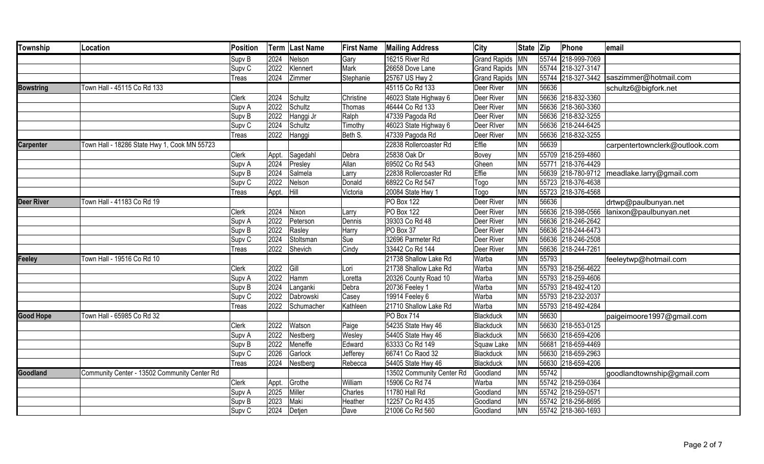| <b>Township</b>   | Location                                     | Position          |       | Term Last Name | <b>First Name</b> | <b>Mailing Address</b>    | City                | State Zip       |       | Phone              | email                                       |
|-------------------|----------------------------------------------|-------------------|-------|----------------|-------------------|---------------------------|---------------------|-----------------|-------|--------------------|---------------------------------------------|
|                   |                                              | Supv B            | 2024  | Nelson         | Gary              | 16215 River Rd            | <b>Grand Rapids</b> | <b>MN</b>       |       | 55744 218-999-7069 |                                             |
|                   |                                              | Supv <sub>C</sub> | 2022  | Klennert       | Mark              | 26658 Dove Lane           | Grand Rapids MN     |                 |       | 55744 218-327-3147 |                                             |
|                   |                                              | <b>Treas</b>      | 2024  | Zimmer         | Stephanie         | 25767 US Hwy 2            | <b>Grand Rapids</b> | MN              |       |                    | 55744 218-327-3442 saszimmer@hotmail.com    |
| <b>Bowstring</b>  | Town Hall - 45115 Co Rd 133                  |                   |       |                |                   | 45115 Co Rd 133           | Deer River          | <b>MN</b>       | 56636 |                    | schultz6@bigfork.net                        |
|                   |                                              | <b>Clerk</b>      | 2024  | Schultz        | Christine         | 46023 State Highway 6     | Deer River          | <b>MN</b>       |       | 56636 218-832-3360 |                                             |
|                   |                                              | Supv A            | 2022  | Schultz        | Thomas            | 46444 Co Rd 133           | Deer River          | <b>MN</b>       |       | 56636 218-360-3360 |                                             |
|                   |                                              | Supv B            | 2022  | Hanggi Jr      | Ralph             | 47339 Pagoda Rd           | Deer River          | <b>MN</b>       |       | 56636 218-832-3255 |                                             |
|                   |                                              | Supv <sub>C</sub> | 2024  | Schultz        | Timothy           | 46023 State Highway 6     | Deer River          | <b>MN</b>       |       | 56636 218-244-6425 |                                             |
|                   |                                              | Treas             | 2022  | Hanggi         | Beth S.           | 47339 Pagoda Rd           | Deer River          | MN              |       | 56636 218-832-3255 |                                             |
| <b>Carpenter</b>  | Town Hall - 18286 State Hwy 1, Cook MN 55723 |                   |       |                |                   | 22838 Rollercoaster Rd    | Effie               | <b>MN</b>       | 56639 |                    | carpentertownclerk@outlook.com              |
|                   |                                              | <b>Clerk</b>      | Appt. | Sagedahl       | Debra             | 25838 Oak Dr              | Bovey               | <b>MN</b>       |       | 55709 218-259-4860 |                                             |
|                   |                                              | Supv A            | 2024  | Presley        | Allan             | 69502 Co Rd 543           | Gheen               | <b>MN</b>       |       | 55771 218-376-4429 |                                             |
|                   |                                              | Supv B            | 2024  | Salmela        | Larry             | 22838 Rollercoaster Rd    | Effie               | <b>MN</b>       |       |                    | 56639 218-780-9712 meadlake.larry@gmail.com |
|                   |                                              | Supv <sub>C</sub> | 2022  | Nelson         | Donald            | 68922 Co Rd 547           | Togo                | <b>MN</b>       |       | 55723 218-376-4638 |                                             |
|                   |                                              | <b>Treas</b>      | Appt. | Hill           | Victoria          | 20084 State Hwy 1         | Togo                | MN              |       | 55723 218-376-4568 |                                             |
| <b>Deer River</b> | Town Hall - 41183 Co Rd 19                   |                   |       |                |                   | PO Box 122                | Deer River          | <b>MN</b>       | 56636 |                    | drtwp@paulbunyan.net                        |
|                   |                                              | <b>Clerk</b>      | 2024  | Nixon          | Larry             | PO Box 122                | Deer River          | <b>MN</b>       |       | 56636 218-398-0566 | lanixon@paulbunyan.net                      |
|                   |                                              | Supv A            | 2022  | Peterson       | Dennis            | 39303 Co Rd 48            | Deer River          | <b>MN</b>       |       | 56636 218-246-2642 |                                             |
|                   |                                              | Supv <sub>B</sub> | 2022  | Rasley         | Harry             | PO Box 37                 | Deer River          | $\overline{MN}$ |       | 56636 218-244-6473 |                                             |
|                   |                                              | Supv <sub>C</sub> | 2024  | Stoltsman      | Sue               | 32696 Parmeter Rd         | Deer River          | <b>MN</b>       |       | 56636 218-246-2508 |                                             |
|                   |                                              | Treas             | 2022  | Shevich        | Cindy             | 33442 Co Rd 144           | Deer River          | <b>MN</b>       |       | 56636 218-244-7261 |                                             |
| Feeley            | Town Hall - 19516 Co Rd 10                   |                   |       |                |                   | 21738 Shallow Lake Rd     | Warba               | <b>MN</b>       | 55793 |                    | feeleytwp@hotmail.com                       |
|                   |                                              | <b>Clerk</b>      | 2022  | Gill           | Lori              | 21738 Shallow Lake Rd     | Warba               | <b>MN</b>       |       | 55793 218-256-4622 |                                             |
|                   |                                              | Supv A            | 2022  | Hamm           | Loretta           | 20326 County Road 10      | Warba               | <b>MN</b>       |       | 55793 218-259-4606 |                                             |
|                   |                                              | Supv B            | 2024  | Langanki       | Debra             | 20736 Feeley 1            | Warba               | <b>MN</b>       |       | 55793 218-492-4120 |                                             |
|                   |                                              | Supv <sub>C</sub> | 2022  | Dabrowski      | Casey             | 19914 Feeley 6            | Warba               | <b>MN</b>       |       | 55793 218-232-2037 |                                             |
|                   |                                              | Treas             | 2022  | Schumacher     | Kathleen          | 21710 Shallow Lake Rd     | Warba               | MN              |       | 55793 218-492-4284 |                                             |
| <b>Good Hope</b>  | Town Hall - 65985 Co Rd 32                   |                   |       |                |                   | <b>PO Box 714</b>         | Blackduck           | <b>MN</b>       | 56630 |                    | paigeimoore1997@gmail.com                   |
|                   |                                              | Clerk             | 2022  | Watson         | Paige             | 54235 State Hwy 46        | Blackduck           | MN              |       | 56630 218-553-0125 |                                             |
|                   |                                              | Supv A            | 2022  | Nestberg       | Wesley            | 54405 State Hwy 46        | Blackduck           | <b>MN</b>       |       | 56630 218-659-4206 |                                             |
|                   |                                              | Supv B            | 2022  | Meneffe        | Edward            | 63333 Co Rd 149           | Squaw Lake          | <b>MN</b>       |       | 56681 218-659-4469 |                                             |
|                   |                                              | Supv <sub>C</sub> | 2026  | Garlock        | Jefferey          | 66741 Co Raod 32          | Blackduck           | MN              |       | 56630 218-659-2963 |                                             |
|                   |                                              | Treas             | 2024  | Nestberg       | Rebecca           | 54405 State Hwy 46        | Blackduck           | <b>MN</b>       |       | 56630 218-659-4206 |                                             |
| Goodland          | Community Center - 13502 Community Center Rd |                   |       |                |                   | 13502 Community Center Rd | Goodland            | <b>MN</b>       | 55742 |                    | goodlandtownship@gmail.com                  |
|                   |                                              | Clerk             | Appt. | Grothe         | William           | 15906 Co Rd 74            | Warba               | <b>MN</b>       |       | 55742 218-259-0364 |                                             |
|                   |                                              | Supv A            | 2025  | Miller         | Charles           | 11780 Hall Rd             | Goodland            | <b>MN</b>       |       | 55742 218-259-0571 |                                             |
|                   |                                              | Supv B            | 2023  | Maki           | Heather           | 12257 Co Rd 435           | Goodland            | <b>MN</b>       |       | 55742 218-256-8695 |                                             |
|                   |                                              | Supv <sub>C</sub> | 2024  | Detjen         | Dave              | 21006 Co Rd 560           | Goodland            | <b>MN</b>       |       | 55742 218-360-1693 |                                             |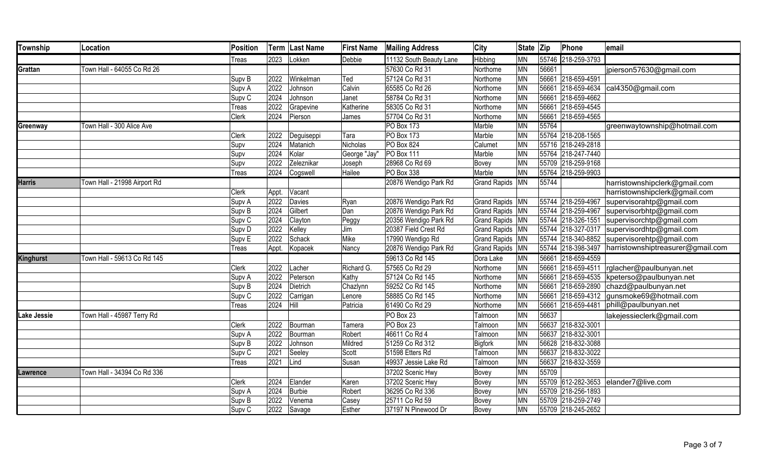| <b>Township</b>    | Location                     | Position          |       | Term Last Name |              | <b>First Name</b> Mailing Address | City              | State Zip |       | Phone              | email                                                |
|--------------------|------------------------------|-------------------|-------|----------------|--------------|-----------------------------------|-------------------|-----------|-------|--------------------|------------------------------------------------------|
|                    |                              | Treas             | 2023  | Lokken         | Debbie       | 11132 South Beauty Lane           | Hibbing           | <b>MN</b> |       | 55746 218-259-3793 |                                                      |
| <b>Grattan</b>     | Town Hall - 64055 Co Rd 26   |                   |       |                |              | 57630 Co Rd 31                    | Northome          | <b>MN</b> | 56661 |                    | jpierson57630@gmail.com                              |
|                    |                              | Supv B            | 2022  | Winkelman      | Ted          | 57124 Co Rd 31                    | Northome          | <b>MN</b> |       | 56661 218-659-4591 |                                                      |
|                    |                              | Supv A            | 2022  | Johnson        | Calvin       | 65585 Co Rd 26                    | Northome          | <b>MN</b> |       |                    | 56661 218-659-4634 cal4350@gmail.com                 |
|                    |                              | Supv <sub>C</sub> | 2024  | Johnson        | Janet        | 58784 Co Rd 31                    | Northome          | <b>MN</b> |       | 56661 218-659-4662 |                                                      |
|                    |                              | <b>Treas</b>      | 2022  | Grapevine      | Katherine    | 58305 Co Rd 31                    | Northome          | <b>MN</b> |       | 56661 218-659-4545 |                                                      |
|                    |                              | Clerk             | 2024  | Pierson        | James        | 57704 Co Rd 31                    | Northome          | MN        |       | 56661 218-659-4565 |                                                      |
| Greenway           | Town Hall - 300 Alice Ave    |                   |       |                |              | <b>PO Box 173</b>                 | Marble            | <b>MN</b> | 55764 |                    | greenwaytownship@hotmail.com                         |
|                    |                              | Clerk             | 2022  | Deguiseppi     | Tara         | <b>PO Box 173</b>                 | Marble            | MN        |       | 55764 218-208-1565 |                                                      |
|                    |                              | Supv              | 2024  | Matanich       | Nicholas     | <b>PO Box 824</b>                 | Calumet           | <b>MN</b> |       | 55716 218-249-2818 |                                                      |
|                    |                              | Supv              | 2024  | Kolar          | George "Jay" | $PO$ Box 111                      | Marble            | <b>MN</b> |       | 55764 218-247-7440 |                                                      |
|                    |                              | Supv              | 2022  | Zeleznikar     | Joseph       | 28968 Co Rd 69                    | Bovey             | <b>MN</b> |       | 55709 218-259-9168 |                                                      |
|                    |                              | Treas             | 2024  | Cogswell       | Hailee       | PO Box 338                        | Marble            | <b>MN</b> |       | 55764 218-259-9903 |                                                      |
| <b>Harris</b>      | Town Hall - 21998 Airport Rd |                   |       |                |              | 20876 Wendigo Park Rd             | Grand Rapids MN   |           | 55744 |                    | harristownshipclerk@gmail.com                        |
|                    |                              | Clerk             | Appt. | Vacant         |              |                                   |                   |           |       |                    | harristownshipclerk@gmail.com                        |
|                    |                              | Supv A            | 2022  | Davies         | Ryan         | 20876 Wendigo Park Rd             | Grand Rapids   MN |           |       | 55744 218-259-4967 | supervisorahtp@gmail.com                             |
|                    |                              | Supv B            | 2024  | Gilbert        | Dan          | 20876 Wendigo Park Rd             | Grand Rapids   MN |           |       |                    | 55744 218-259-4967 supervisorbhtp@gmail.com          |
|                    |                              | Supv <sub>C</sub> | 2024  | Clayton        | Peggy        | 20356 Wendigo Park Rd             | Grand Rapids   MN |           |       |                    | 55744 218-326-1551 supervisorchtp@gmail.com          |
|                    |                              | Supv <sub>D</sub> | 2022  | Kelley         | Jim          | 20387 Field Crest Rd              | Grand Rapids MN   |           |       |                    | 55744 218-327-0317 supervisordhtp@gmail.com          |
|                    |                              | Supv <sub>E</sub> | 2022  | Schack         | Mike         | 17990 Wendigo Rd                  | Grand Rapids MN   |           |       |                    | 55744 218-340-8852 supervisorehtp@gmail.com          |
|                    |                              | Treas             | Appt. | Kopacek        | Nancy        | 20876 Wendigo Park Rd             | Grand Rapids   MN |           |       |                    | 55744 218-398-3497 harristownshiptreasurer@gmail.com |
| <b>Kinghurst</b>   | Town Hall - 59613 Co Rd 145  |                   |       |                |              | 59613 Co Rd 145                   | Dora Lake         | <b>MN</b> |       | 56661 218-659-4559 |                                                      |
|                    |                              | Clerk             | 2022  | Lacher         | Richard G.   | 57565 Co Rd 29                    | Northome          | <b>MN</b> |       |                    | 56661 218-659-4511  rglacher@paulbunyan.net          |
|                    |                              | Supv A            | 2022  | Peterson       | Kathy        | 57124 Co Rd 145                   | Northome          | <b>MN</b> |       |                    | 56661 218-659-4535 kpeterso@paulbunyan.net           |
|                    |                              | Supv B            | 2024  | Dietrich       | Chazlynn     | 59252 Co Rd 145                   | Northome          | <b>MN</b> |       |                    | 56661 218-659-2890 chazd@paulbunyan.net              |
|                    |                              | Supv <sub>C</sub> | 2022  | Carrigan       | Lenore       | 58885 Co Rd 145                   | Northome          | <b>MN</b> |       |                    | 56661 218-659-4312 gunsmoke69@hotmail.com            |
|                    |                              | <b>Treas</b>      | 2024  | Hill           | Patricia     | 61490 Co Rd 29                    | Northome          | <b>MN</b> |       |                    | 56661 218-659-4481 phill@paulbunyan.net              |
| <b>Lake Jessie</b> | Town Hall - 45987 Terry Rd   |                   |       |                |              | PO Box 23                         | Talmoon           | <b>MN</b> | 56637 |                    | lakejessieclerk@gmail.com                            |
|                    |                              | Clerk             | 2022  | Bourman        | Tamera       | PO Box 23                         | Talmoon           | <b>MN</b> |       | 56637 218-832-3001 |                                                      |
|                    |                              | Supv A            | 2022  | Bourman        | Robert       | 46611 Co Rd 4                     | Talmoon           | <b>MN</b> |       | 56637 218-832-3001 |                                                      |
|                    |                              | Supv B            | 2022  | Johnson        | Mildred      | 51259 Co Rd 312                   | <b>Bigfork</b>    | <b>MN</b> |       | 56628 218-832-3088 |                                                      |
|                    |                              | Supv <sub>C</sub> | 2021  | Seeley         | Scott        | 51598 Etters Rd                   | Talmoon           | <b>MN</b> |       | 56637 218-832-3022 |                                                      |
|                    |                              | Treas             | 2021  | Lind           | Susan        | 49937 Jessie Lake Rd              | Talmoon           | MN        |       | 56637 218-832-3559 |                                                      |
| Lawrence           | Town Hall - 34394 Co Rd 336  |                   |       |                |              | 37202 Scenic Hwy                  | Bovey             | <b>MN</b> | 55709 |                    |                                                      |
|                    |                              | Clerk             | 2024  | Elander        | Karen        | 37202 Scenic Hwy                  | Bovey             | <b>MN</b> |       |                    | 55709 612-282-3653 elander7@live.com                 |
|                    |                              | Supv A            | 2024  | Burbie         | Robert       | 36295 Co Rd 336                   | Bovey             | <b>MN</b> |       | 55709 218-256-1893 |                                                      |
|                    |                              | Supv B            | 2022  | Venema         | Casey        | 25711 Co Rd 59                    | Bovey             | <b>MN</b> |       | 55709 218-259-2749 |                                                      |
|                    |                              | Supv <sub>C</sub> | 2022  | Savage         | Esther       | 37197 N Pinewood Dr               | Bovey             | <b>MN</b> |       | 55709 218-245-2652 |                                                      |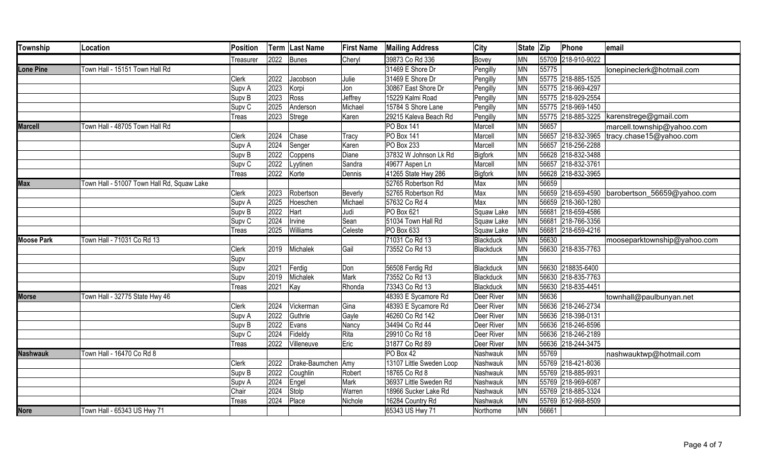| Township          | Location                                   | Position          |      | Term Last Name     | <b>First Name</b> | <b>Mailing Address</b>   | City       | State Zip |       | Phone              | email                                          |
|-------------------|--------------------------------------------|-------------------|------|--------------------|-------------------|--------------------------|------------|-----------|-------|--------------------|------------------------------------------------|
|                   |                                            | Treasurer         | 2022 | Bunes              | Cheryl            | 39873 Co Rd 336          | Bovey      | <b>MN</b> |       | 55709 218-910-9022 |                                                |
| <b>Lone Pine</b>  | Town Hall - 15151 Town Hall Rd             |                   |      |                    |                   | 31469 E Shore Dr         | Pengilly   | <b>MN</b> | 55775 |                    | lonepineclerk@hotmail.com                      |
|                   |                                            | <b>Clerk</b>      | 2022 | Jacobson           | Julie             | 31469 E Shore Dr         | Pengilly   | <b>MN</b> |       | 55775 218-885-1525 |                                                |
|                   |                                            | Supv A            | 2023 | Korpi              | Jon               | 30867 East Shore Dr      | Pengilly   | <b>MN</b> |       | 55775 218-969-4297 |                                                |
|                   |                                            | Supv B            | 2023 | Ross               | Jeffrey           | 15229 Kalmi Road         | Pengilly   | MN        |       | 55775 218-929-2554 |                                                |
|                   |                                            | Supv <sub>C</sub> | 2025 | Anderson           | Michael           | 15784 S Shore Lane       | Pengilly   | <b>MN</b> |       | 55775 218-969-1450 |                                                |
|                   |                                            | Treas             | 2023 | Strege             | Karen             | 29215 Kaleva Beach Rd    | Pengilly   | MN        |       |                    | 55775 218-885-3225   karenstrege@gmail.com     |
| <b>Marcell</b>    | Town Hall - 48705 Town Hall Rd             |                   |      |                    |                   | PO Box 141               | Marcell    | MN        | 56657 |                    | marcell.township@yahoo.com                     |
|                   |                                            | <b>Clerk</b>      | 2024 | Chase              | Tracy             | PO Box 141               | Marcell    | MN        |       | 56657 218-832-3965 | tracy.chase15@yahoo.com                        |
|                   |                                            | Supv A            | 2024 | Senger             | Karen             | PO Box 233               | Marcell    | MN        |       | 56657 218-256-2288 |                                                |
|                   |                                            | Supv <sub>B</sub> | 2022 | Coppens            | Diane             | 37832 W Johnson Lk Rd    | Bigfork    | <b>MN</b> |       | 56628 218-832-3488 |                                                |
|                   |                                            | Supv <sub>C</sub> | 2022 | Lyytinen           | Sandra            | 49677 Aspen Ln           | Marcell    | <b>MN</b> |       | 56657 218-832-3761 |                                                |
|                   |                                            | Treas             | 2022 | Korte              | Dennis            | 41265 State Hwy 286      | Bigfork    | MN        |       | 56628 218-832-3965 |                                                |
| <b>Max</b>        | Town Hall - 51007 Town Hall Rd, Squaw Lake |                   |      |                    |                   | 52765 Robertson Rd       | Max        | <b>MN</b> | 56659 |                    |                                                |
|                   |                                            | <b>Clerk</b>      | 2023 | Robertson          | Beverly           | 52765 Robertson Rd       | Max        | <b>MN</b> |       |                    | 56659 218-659-4590 barobertson_56659@yahoo.com |
|                   |                                            | Supv A            | 2025 | Hoeschen           | Michael           | 57632 Co Rd 4            | Max        | MN        |       | 56659 218-360-1280 |                                                |
|                   |                                            | Supv <sub>B</sub> | 2022 | Hart               | Judi              | PO Box 621               | Squaw Lake | <b>MN</b> |       | 56681 218-659-4586 |                                                |
|                   |                                            | Supv <sub>C</sub> | 2024 | Irvine             | Sean              | 51034 Town Hall Rd       | Squaw Lake | <b>MN</b> |       | 56681 218-766-3356 |                                                |
|                   |                                            | Treas             | 2025 | Williams           | Celeste           | PO Box 633               | Squaw Lake | <b>MN</b> |       | 56681 218-659-4216 |                                                |
| <b>Moose Park</b> | Town Hall - 71031 Co Rd 13                 |                   |      |                    |                   | 71031 Co Rd 13           | Blackduck  | <b>MN</b> | 56630 |                    | mooseparktownship@yahoo.com                    |
|                   |                                            | <b>Clerk</b>      | 2019 | Michalek           | Gail              | 73552 Co Rd 13           | Blackduck  | <b>MN</b> |       | 56630 218-835-7763 |                                                |
|                   |                                            | Supv              |      |                    |                   |                          |            | <b>MN</b> |       |                    |                                                |
|                   |                                            | Supv              | 2021 | Ferdig             | Don               | 56508 Ferdig Rd          | Blackduck  | MN        |       | 56630 218835-6400  |                                                |
|                   |                                            | Supv              | 2019 | Michalek           | Mark              | 73552 Co Rd 13           | Blackduck  | <b>MN</b> |       | 56630 218-835-7763 |                                                |
|                   |                                            | Treas             | 2021 | Kay                | Rhonda            | 73343 Co Rd 13           | Blackduck  | MN        |       | 56630 218-835-4451 |                                                |
| <b>Morse</b>      | Town Hall - 32775 State Hwy 46             |                   |      |                    |                   | 48393 E Sycamore Rd      | Deer River | <b>MN</b> | 56636 |                    | townhall@paulbunyan.net                        |
|                   |                                            | <b>Clerk</b>      | 2024 | Vickerman          | Gina              | 48393 E Sycamore Rd      | Deer River | MN        |       | 56636 218-246-2734 |                                                |
|                   |                                            | Supv A            | 2022 | Guthrie            | Gayle             | 46260 Co Rd 142          | Deer River | <b>MN</b> |       | 56636 218-398-0131 |                                                |
|                   |                                            | Supv <sub>B</sub> | 2022 | Evans              | Nancy             | 34494 Co Rd 44           | Deer River | <b>MN</b> |       | 56636 218-246-8596 |                                                |
|                   |                                            | Supv <sub>C</sub> | 2024 | Fideldy            | Rita              | 29910 Co Rd 18           | Deer River | MN        |       | 56636 218-246-2189 |                                                |
|                   |                                            | Treas             | 2022 | Villeneuve         | Eric              | 31877 Co Rd 89           | Deer River | MN        |       | 56636 218-244-3475 |                                                |
| <b>Nashwauk</b>   | Town Hall - 16470 Co Rd 8                  |                   |      |                    |                   | PO Box 42                | Nashwauk   | MN        | 55769 |                    | nashwauktwp@hotmail.com                        |
|                   |                                            | <b>Clerk</b>      | 2022 | Drake-Baumchen Amy |                   | 13107 Little Sweden Loop | Nashwauk   | MN        |       | 55769 218-421-8036 |                                                |
|                   |                                            | Supv <sub>B</sub> | 2022 | Coughlin           | Robert            | 18765 Co Rd 8            | Nashwauk   | <b>MN</b> |       | 55769 218-885-9931 |                                                |
|                   |                                            | Supv A            | 2024 | Engel              | Mark              | 36937 Little Sweden Rd   | Nashwauk   | <b>MN</b> |       | 55769 218-969-6087 |                                                |
|                   |                                            | Chair             | 2024 | Stolp              | Warren            | 18966 Sucker Lake Rd     | Nashwauk   | <b>MN</b> |       | 55769 218-885-3324 |                                                |
|                   |                                            | Treas             | 2024 | Place              | Nichole           | 16284 Country Rd         | Nashwauk   | MN        |       | 55769 612-968-8509 |                                                |
| <b>Nore</b>       | Town Hall - 65343 US Hwy 71                |                   |      |                    |                   | 65343 US Hwy 71          | Northome   | <b>MN</b> | 56661 |                    |                                                |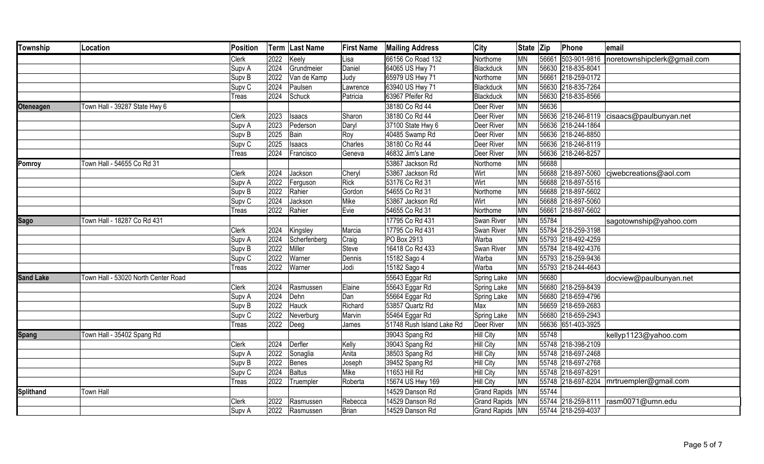| <b>Township</b>  | Location                            | <b>Position</b>   |      | Term Last Name | <b>First Name</b> | <b>Mailing Address</b>    | City              | State Zip       |       | Phone              | email                                     |
|------------------|-------------------------------------|-------------------|------|----------------|-------------------|---------------------------|-------------------|-----------------|-------|--------------------|-------------------------------------------|
|                  |                                     | Clerk             | 2022 | Keely          | Lisa              | 66156 Co Road 132         | Northome          | <b>MN</b>       | 56661 | 503-901-9816       | noretownshipclerk@gmail.com               |
|                  |                                     | Supv A            | 2024 | Grundmeier     | Daniel            | 64065 US Hwy 71           | Blackduck         | <b>MN</b>       |       | 56630 218-835-8041 |                                           |
|                  |                                     | Supv B            | 2022 | Van de Kamp    | Judy              | 65979 US Hwy 71           | Northome          | <b>MN</b>       |       | 56661 218-259-0172 |                                           |
|                  |                                     | Supv <sub>C</sub> | 2024 | Paulsen        | Lawrence          | 63940 US Hwy 71           | Blackduck         | $\overline{MN}$ |       | 56630 218-835-7264 |                                           |
|                  |                                     | Treas             | 2024 | Schuck         | Patricia          | 63967 Pfeifer Rd          | Blackduck         | MN              |       | 56630 218-835-8566 |                                           |
| <b>Oteneagen</b> | Town Hall - 39287 State Hwy 6       |                   |      |                |                   | 38180 Co Rd 44            | Deer River        | <b>MN</b>       | 56636 |                    |                                           |
|                  |                                     | Clerk             | 2023 | Isaacs         | Sharon            | 38180 Co Rd 44            | Deer River        | <b>MN</b>       |       |                    | 56636 218-246-8119 cisaacs@paulbunyan.net |
|                  |                                     | Supv A            | 2023 | Pederson       | Daryl             | 37100 State Hwy 6         | Deer River        | <b>MN</b>       |       | 56636 218-244-1864 |                                           |
|                  |                                     | Supv <sub>B</sub> | 2025 | Bain           | Roy               | 40485 Swamp Rd            | Deer River        | <b>MN</b>       |       | 56636 218-246-8850 |                                           |
|                  |                                     | Supv <sub>C</sub> | 2025 | Isaacs         | Charles           | 38180 Co Rd 44            | Deer River        | <b>MN</b>       |       | 56636 218-246-8119 |                                           |
|                  |                                     | Treas             | 2024 | Francisco      | Geneva            | 46832 Jim's Lane          | Deer River        | <b>MN</b>       |       | 56636 218-246-8257 |                                           |
| Pomroy           | Town Hall - 54655 Co Rd 31          |                   |      |                |                   | 53867 Jackson Rd          | Northome          | <b>MN</b>       | 56688 |                    |                                           |
|                  |                                     | Clerk             | 2024 | Jackson        | Cheryl            | 53867 Jackson Rd          | Wirt              | <b>MN</b>       |       |                    | 56688 218-897-5060 cjwebcreations@aol.com |
|                  |                                     | Supv A            | 2022 | Ferguson       | Rick              | 53176 Co Rd 31            | Wirt              | <b>MN</b>       |       | 56688 218-897-5516 |                                           |
|                  |                                     | Supv <sub>B</sub> | 2022 | Rahier         | Gordon            | 54655 Co Rd 31            | Northome          | <b>MN</b>       |       | 56688 218-897-5602 |                                           |
|                  |                                     | Supv <sub>C</sub> | 2024 | Jackson        | Mike              | 53867 Jackson Rd          | Wirt              | <b>MN</b>       |       | 56688 218-897-5060 |                                           |
|                  |                                     | Treas             | 2022 | Rahier         | Evie              | 54655 Co Rd 31            | Northome          | MN              |       | 56661 218-897-5602 |                                           |
| <b>Sago</b>      | Town Hall - 18287 Co Rd 431         |                   |      |                |                   | 17795 Co Rd 431           | Swan River        | <b>MN</b>       | 55784 |                    | sagotownship@yahoo.com                    |
|                  |                                     | Clerk             | 2024 | Kingsley       | Marcia            | 17795 Co Rd 431           | Swan River        | MN              |       | 55784 218-259-3198 |                                           |
|                  |                                     | Supv A            | 2024 | Scherfenberg   | Craig             | PO Box 2913               | Warba             | <b>MN</b>       |       | 55793 218-492-4259 |                                           |
|                  |                                     | Supv B            | 2022 | Miller         | Steve             | 16418 Co Rd 433           | Swan River        | <b>MN</b>       |       | 55784 218-492-4376 |                                           |
|                  |                                     | Supv <sub>C</sub> | 2022 | Warner         | Dennis            | 15182 Sago 4              | Warba             | MN              |       | 55793 218-259-9436 |                                           |
|                  |                                     | Treas             | 2022 | Warner         | Jodi              | 15182 Sago 4              | Warba             | <b>MN</b>       |       | 55793 218-244-4643 |                                           |
| <b>Sand Lake</b> | Town Hall - 53020 North Center Road |                   |      |                |                   | 55643 Eggar Rd            | Spring Lake       | <b>MN</b>       | 56680 |                    | docview@paulbunyan.net                    |
|                  |                                     | Clerk             | 2024 | Rasmussen      | Elaine            | 55643 Eggar Rd            | Spring Lake       | <b>MN</b>       |       | 56680 218-259-8439 |                                           |
|                  |                                     | Supv A            | 2024 | Dehn           | Dan               | 55664 Eggar Rd            | Spring Lake       | <b>MN</b>       |       | 56680 218-659-4796 |                                           |
|                  |                                     | Supv B            | 2022 | Hauck          | Richard           | 53857 Quartz Rd           | Max               | <b>MN</b>       |       | 56659 218-659-2683 |                                           |
|                  |                                     | Supv <sub>C</sub> | 2022 | Neverburg      | Marvin            | 55464 Eggar Rd            | Spring Lake       | <b>MN</b>       |       | 56680 218-659-2943 |                                           |
|                  |                                     | Treas             | 2022 | Deeg           | James             | 51748 Rush Island Lake Rd | Deer River        | <b>MN</b>       |       | 56636 651-403-3925 |                                           |
| <b>Spang</b>     | Town Hall - 35402 Spang Rd          |                   |      |                |                   | 39043 Spang Rd            | <b>Hill City</b>  | <b>MN</b>       | 55748 |                    | kellyp1123@yahoo.com                      |
|                  |                                     | Clerk             | 2024 | Derfler        | Kelly             | 39043 Spang Rd            | Hill City         | <b>MN</b>       |       | 55748 218-398-2109 |                                           |
|                  |                                     | Supv A            | 2022 | Sonaglia       | Anita             | 38503 Spang Rd            | Hill City         | <b>MN</b>       |       | 55748 218-697-2468 |                                           |
|                  |                                     | Supv <sub>B</sub> | 2022 | Benes          | Joseph            | 39452 Spang Rd            | Hill City         | <b>MN</b>       |       | 55748 218-697-2768 |                                           |
|                  |                                     | Supv <sub>C</sub> | 2024 | Baltus         | Mike              | 11653 Hill Rd             | <b>Hill City</b>  | <b>MN</b>       |       | 55748 218-697-8291 |                                           |
|                  |                                     | Treas             | 2022 | Truempler      | Roberta           | 15674 US Hwy 169          | Hill City         | <b>MN</b>       |       |                    | 55748 218-697-8204 mrtruempler@gmail.com  |
| <b>Splithand</b> | <b>Town Hall</b>                    |                   |      |                |                   | 14529 Danson Rd           | Grand Rapids MN   |                 | 55744 |                    |                                           |
|                  |                                     | Clerk             | 2022 | Rasmussen      | Rebecca           | 14529 Danson Rd           | Grand Rapids   MN |                 |       |                    | 55744 218-259-8111  rasm0071@umn.edu      |
|                  |                                     | Supv A            |      | 2022 Rasmussen | Brian             | 14529 Danson Rd           | Grand Rapids MN   |                 |       | 55744 218-259-4037 |                                           |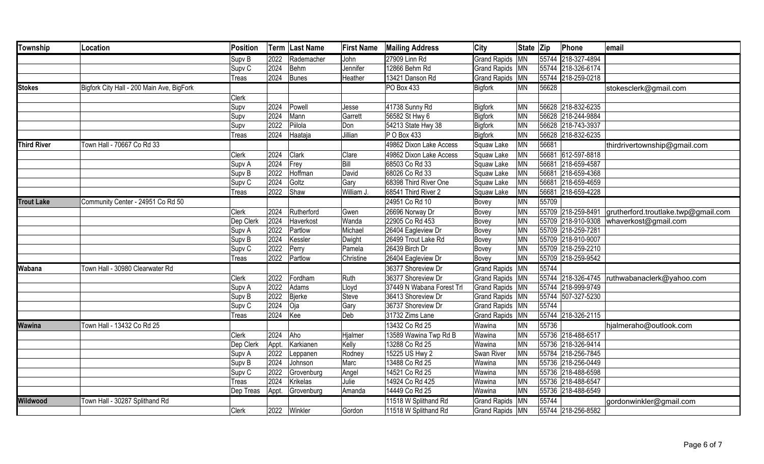| <b>Township</b>    | Location                                  | Position          |       | Term   Last Name | <b>First Name</b> | <b>Mailing Address</b>    | City                | State Zip |       | Phone              | email                                        |
|--------------------|-------------------------------------------|-------------------|-------|------------------|-------------------|---------------------------|---------------------|-----------|-------|--------------------|----------------------------------------------|
|                    |                                           | Supv <sub>B</sub> | 2022  | Rademacher       | John              | 27909 Linn Rd             | <b>Grand Rapids</b> | <b>MN</b> |       | 55744 218-327-4894 |                                              |
|                    |                                           | Supv <sub>C</sub> | 2024  | Behm             | Jennifer          | 12866 Behm Rd             | Grand Rapids   MN   |           |       | 55744 218-326-6174 |                                              |
|                    |                                           | <b>Treas</b>      | 2024  | Bunes            | Heather           | 13421 Danson Rd           | <b>Grand Rapids</b> | MN        |       | 55744 218-259-0218 |                                              |
| <b>Stokes</b>      | Bigfork City Hall - 200 Main Ave, BigFork |                   |       |                  |                   | PO Box 433                | <b>Bigfork</b>      | <b>MN</b> | 56628 |                    | stokesclerk@gmail.com                        |
|                    |                                           | Clerk             |       |                  |                   |                           |                     |           |       |                    |                                              |
|                    |                                           | Supv              | 2024  | Powell           | Jesse             | 41738 Sunny Rd            | Bigfork             | <b>MN</b> |       | 56628 218-832-6235 |                                              |
|                    |                                           | Supv              | 2024  | Mann             | Garrett           | 56582 St Hwy 6            | Bigfork             | <b>MN</b> |       | 56628 218-244-9884 |                                              |
|                    |                                           | Supv              | 2022  | Piilola          | Don               | 54213 State Hwy 38        | Bigfork             | <b>MN</b> |       | 56628 218-743-3937 |                                              |
|                    |                                           | <b>Treas</b>      | 2024  | Haataja          | Jillian           | P O Box 433               | <b>Bigfork</b>      | <b>MN</b> |       | 56628 218-832-6235 |                                              |
| <b>Third River</b> | Town Hall - 70667 Co Rd 33                |                   |       |                  |                   | 49862 Dixon Lake Access   | Squaw Lake          | <b>MN</b> | 56681 |                    | thirdrivertownship@gmail.com                 |
|                    |                                           | <b>Clerk</b>      | 2024  | <b>Clark</b>     | Clare             | 49862 Dixon Lake Access   | Squaw Lake          | <b>MN</b> |       | 56681 612-597-8818 |                                              |
|                    |                                           | Supv A            | 2024  | Frey             | Bill              | 68503 Co Rd 33            | Squaw Lake          | <b>MN</b> |       | 56681 218-659-4587 |                                              |
|                    |                                           | Supv B            | 2022  | Hoffman          | David             | 68026 Co Rd 33            | Squaw Lake          | <b>MN</b> |       | 56681 218-659-4368 |                                              |
|                    |                                           | Supv <sub>C</sub> | 2024  | Goltz            | Gary              | 68398 Third River One     | Squaw Lake          | <b>MN</b> |       | 56681 218-659-4659 |                                              |
|                    |                                           | <b>Treas</b>      | 2022  | Shaw             | William J.        | 68541 Third River 2       | Squaw Lake          | <b>MN</b> |       | 56681 218-659-4228 |                                              |
| <b>Trout Lake</b>  | Community Center - 24951 Co Rd 50         |                   |       |                  |                   | 24951 Co Rd 10            | Bovey               | <b>MN</b> | 55709 |                    |                                              |
|                    |                                           | <b>Clerk</b>      | 2024  | Rutherford       | Gwen              | 26696 Norway Dr           | Bovey               | <b>MN</b> |       | 55709 218-259-8491 | grutherford.troutlake.twp@gmail.com          |
|                    |                                           | Dep Clerk         | 2024  | Haverkost        | Wanda             | 22905 Co Rd 453           | Bovey               | <b>MN</b> |       |                    | 55709 218-910-9308   whaverkost@gmail.com    |
|                    |                                           | Supv A            | 2022  | Partlow          | Michael           | 26404 Eagleview Dr        | Bovey               | MN        |       | 55709 218-259-7281 |                                              |
|                    |                                           | Supv B            | 2024  | Kessler          | Dwight            | 26499 Trout Lake Rd       | Bovey               | <b>MN</b> |       | 55709 218-910-9007 |                                              |
|                    |                                           | Supv <sub>C</sub> | 2022  | Perry            | Pamela            | 26439 Birch Dr            | Bovey               | <b>MN</b> |       | 55709 218-259-2210 |                                              |
|                    |                                           | Treas             | 2022  | Partlow          | Christine         | 26404 Eagleview Dr        | Bovey               | <b>MN</b> |       | 55709 218-259-9542 |                                              |
| Wabana             | Town Hall - 30980 Clearwater Rd           |                   |       |                  |                   | 36377 Shoreview Dr        | <b>Grand Rapids</b> | <b>MN</b> | 55744 |                    |                                              |
|                    |                                           | <b>Clerk</b>      | 2022  | Fordham          | Ruth              | 36377 Shoreview Dr        | Grand Rapids   MN   |           |       |                    | 55744 218-326-4745 ruthwabanaclerk@yahoo.com |
|                    |                                           | Supv A            | 2022  | Adams            | Lloyd             | 37449 N Wabana Forest Trl | Grand Rapids   MN   |           |       | 55744 218-999-9749 |                                              |
|                    |                                           | Supv <sub>B</sub> | 2022  | Bjerke           | Steve             | 36413 Shoreview Dr        | Grand Rapids MN     |           |       | 55744 507-327-5230 |                                              |
|                    |                                           | Supv <sub>C</sub> | 2024  | Oja              | Gary              | 36737 Shoreview Dr        | Grand Rapids   MN   |           | 55744 |                    |                                              |
|                    |                                           | <b>Treas</b>      | 2024  | Kee              | Deb               | 31732 Zims Lane           | Grand Rapids   MN   |           |       | 55744 218-326-2115 |                                              |
| <b>Wawina</b>      | Town Hall - 13432 Co Rd 25                |                   |       |                  |                   | 13432 Co Rd 25            | Wawina              | <b>MN</b> | 55736 |                    | hjalmeraho@outlook.com                       |
|                    |                                           | <b>Clerk</b>      | 2024  | Aho              | Hjalmer           | 13589 Wawina Twp Rd B     | Wawina              | <b>MN</b> |       | 55736 218-488-6517 |                                              |
|                    |                                           | Dep Clerk         | Appt. | Karkianen        | Kelly             | 13288 Co Rd 25            | Wawina              | <b>MN</b> |       | 55736 218-326-9414 |                                              |
|                    |                                           | Supv A            | 2022  | Leppanen         | Rodney            | 15225 US Hwy 2            | Swan River          | <b>MN</b> |       | 55784 218-256-7845 |                                              |
|                    |                                           | Supv <sub>B</sub> | 2024  | Johnson          | Marc              | 13488 Co Rd 25            | Wawina              | <b>MN</b> |       | 55736 218-256-0449 |                                              |
|                    |                                           | Supv <sub>C</sub> | 2022  | Grovenburg       | Angel             | 14521 Co Rd 25            | Wawina              | <b>MN</b> |       | 55736 218-488-6598 |                                              |
|                    |                                           | Treas             | 2024  | Krikelas         | Julie             | 14924 Co Rd 425           | Wawina              | <b>MN</b> |       | 55736 218-488-6547 |                                              |
|                    |                                           | Dep Treas         | Appt. | Grovenburg       | Amanda            | 14449 Co Rd 25            | Wawina              | <b>MN</b> |       | 55736 218-488-6549 |                                              |
| <b>Wildwood</b>    | Town Hall - 30287 Splithand Rd            |                   |       |                  |                   | 11518 W Splithand Rd      | <b>Grand Rapids</b> | <b>MN</b> | 55744 |                    | gordonwinkler@gmail.com                      |
|                    |                                           | <b>Clerk</b>      |       | 2022 Winkler     | Gordon            | 11518 W Splithand Rd      | Grand Rapids   MN   |           |       | 55744 218-256-8582 |                                              |